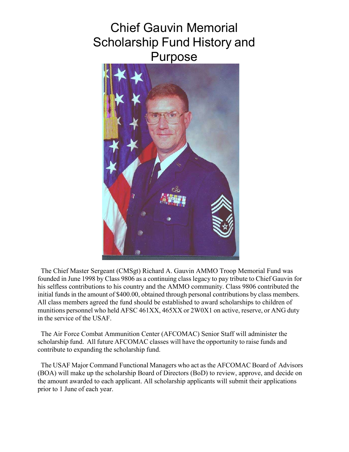# Chief Gauvin Memorial Scholarship Fund History and Purpose



The Chief Master Sergeant (CMSgt) Richard A. Gauvin AMMO Troop Memorial Fund was founded in June 1998 by Class 9806 as a continuing class legacy to pay tribute to Chief Gauvin for his selfless contributions to his country and the AMMO community. Class 9806 contributed the initial funds in the amount of \$400.00, obtained through personal contributions by class members. All class members agreed the fund should be established to award scholarships to children of munitions personnel who held AFSC 461XX, 465XX or 2W0X1 on active, reserve, or ANG duty in the service of the USAF.

The Air Force Combat Ammunition Center (AFCOMAC) Senior Staff will administer the scholarship fund. All future AFCOMAC classes will have the opportunity to raise funds and contribute to expanding the scholarship fund.

The USAF Major Command Functional Managers who act as the AFCOMAC Board of Advisors (BOA) will make up the scholarship Board of Directors (BoD) to review, approve, and decide on the amount awarded to each applicant. All scholarship applicants will submit their applications prior to 1 June of each year.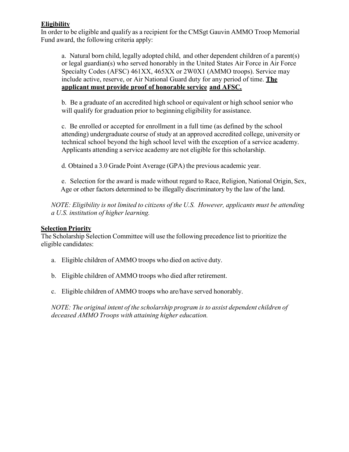#### **Eligibility**

In order to be eligible and qualify as a recipient for the CMSgt Gauvin AMMO Troop Memorial Fund award, the following criteria apply:

a. Natural born child, legally adopted child, and other dependent children of a parent(s) or legal guardian(s) who served honorably in the United States Air Force in Air Force Specialty Codes (AFSC) 461XX, 465XX or 2W0X1 (AMMO troops). Service may include active, reserve, or Air National Guard duty for any period of time. **The applicant must provide proof of honorable service and AFSC.**

b. Be a graduate of an accredited high school or equivalent or high school senior who will qualify for graduation prior to beginning eligibility for assistance.

c. Be enrolled or accepted for enrollment in a full time (as defined by the school attending) undergraduate course of study at an approved accredited college, university or technical school beyond the high school level with the exception of a service academy. Applicants attending a service academy are not eligible for this scholarship.

d. Obtained a 3.0 Grade Point Average (GPA) the previous academic year.

e. Selection for the award is made without regard to Race, Religion, National Origin, Sex, Age or other factors determined to be illegally discriminatory by the law of the land.

*NOTE: Eligibility is not limited to citizens of the U.S. However, applicants must be attending a U.S. institution of higher learning.*

#### **Selection Priority**

The Scholarship Selection Committee will use the following precedence list to prioritize the eligible candidates:

- a. Eligible children of AMMO troops who died on active duty.
- b. Eligible children of AMMO troops who died after retirement.
- c. Eligible children of AMMO troops who are/have served honorably.

*NOTE: The original intent of the scholarship program is to assist dependent children of deceased AMMO Troops with attaining higher education.*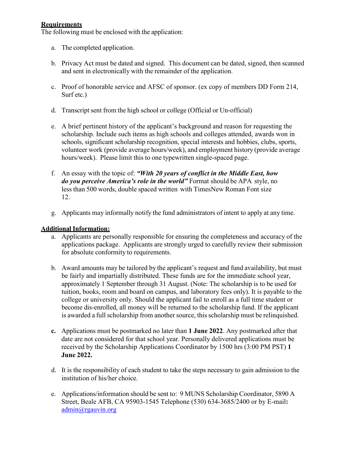#### **Requirements**

The following must be enclosed with the application:

- a. The completed application.
- b. Privacy Act must be dated and signed. This document can be dated, signed, then scanned and sent in electronically with the remainder of the application.
- c. Proof of honorable service and AFSC of sponsor. (ex copy of members DD Form 214, Surf etc.)
- d. Transcript sent from the high school or college (Official or Un-official)
- e. A brief pertinent history of the applicant's background and reason for requesting the scholarship. Include such items as high schools and colleges attended, awards won in schools, significant scholarship recognition, special interests and hobbies, clubs, sports, volunteer work (provide average hours/week), and employment history (provide average hours/week). Please limit this to one typewritten single-spaced page.
- f. An essay with the topic of: *"With 20 years of conflict in the Middle East, how do you perceive America's role in the world"* Format should be APA style, no less than 500 words, double spaced written with TimesNew Roman Font size 12.
- g. Applicants may informally notify the fund administrators of intent to apply at any time.

#### **Additional Information:**

- a. Applicants are personally responsible for ensuring the completeness and accuracy of the applications package. Applicants are strongly urged to carefully review their submission for absolute conformity to requirements.
- b. Award amounts may be tailored by the applicant's request and fund availability, but must be fairly and impartially distributed. These funds are for the immediate school year, approximately 1 September through 31 August. (Note: The scholarship is to be used for tuition, books, room and board on campus, and laboratory fees only). It is payable to the college or university only. Should the applicant fail to enroll as a full time student or become dis-enrolled, all money will be returned to the scholarship fund. If the applicant is awarded a full scholarship from another source, thisscholarship must be relinquished.
- **c.** Applications must be postmarked no later than **1 June 2022**. Any postmarked after that date are not considered for that school year. Personally delivered applications must be received by the Scholarship Applications Coordinator by 1500 hrs (3:00 PM PST) **1 June 2022.**
- d. It is the responsibility of each student to take the steps necessary to gain admission to the institution of his/her choice.
- e. Applications/information should be sent to: 9 MUNS Scholarship Coordinator, 5890 A Street, Beale AFB, CA 95903-1545 Telephone (530) 634-3685/2400 or by E-mail**:** [admin@rgauvin.org](mailto:admin@rgauvin.org)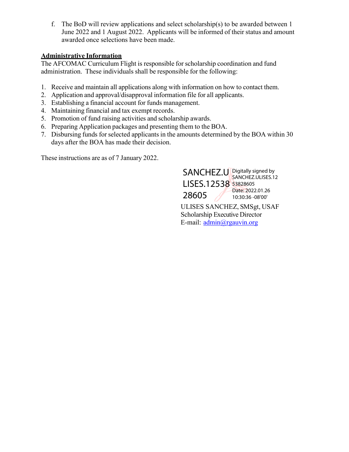f. The BoD will review applications and select scholarship(s) to be awarded between 1 June 2022 and 1 August 2022. Applicants will be informed of their status and amount awarded once selections have been made.

#### **Administrative Information**

The AFCOMAC Curriculum Flight is responsible for scholarship coordination and fund administration. These individuals shall be responsible for the following:

- 1. Receive and maintain all applications along with information on how to contact them.
- 2. Application and approval/disapproval information file for all applicants.
- 3. Establishing a financial account for funds management.
- 4. Maintaining financial and tax exempt records.
- 5. Promotion of fund raising activities and scholarship awards.
- 6. Preparing Application packages and presenting them to the BOA.
- 7. Disbursing funds forselected applicants in the amounts determined by the BOA within 30 days after the BOA has made their decision.

These instructions are as of 7 January 2022.

ULISES SANCHEZ, SMSgt, USAF Scholarship Executive Director E-mail: [admin@rgauvin.org](mailto:admin@rgauvin.org) SANCHEZ.U Digitally signed by LISES.12538 53828605 28605 SANCHEZ.ULISES.12 Date: 2022.01.26 10:30:36 -08'00'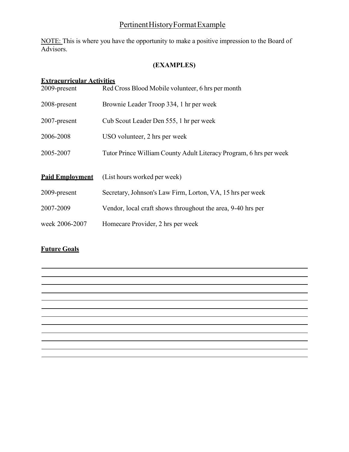# Pertinent History Format Example

NOTE: This is where you have the opportunity to make a positive impression to the Board of Advisors.

#### **(EXAMPLES)**

#### **Extracurricular Activities**

| 2009-present           | Red Cross Blood Mobile volunteer, 6 hrs per month                  |  |  |
|------------------------|--------------------------------------------------------------------|--|--|
| 2008-present           | Brownie Leader Troop 334, 1 hr per week                            |  |  |
| 2007-present           | Cub Scout Leader Den 555, 1 hr per week                            |  |  |
| 2006-2008              | USO volunteer, 2 hrs per week                                      |  |  |
| 2005-2007              | Tutor Prince William County Adult Literacy Program, 6 hrs per week |  |  |
|                        |                                                                    |  |  |
| <b>Paid Employment</b> | (List hours worked per week)                                       |  |  |
| 2009-present           | Secretary, Johnson's Law Firm, Lorton, VA, 15 hrs per week         |  |  |
| 2007-2009              | Vendor, local craft shows throughout the area, 9-40 hrs per        |  |  |
| week 2006-2007         | Homecare Provider, 2 hrs per week                                  |  |  |

### **Future Goals**

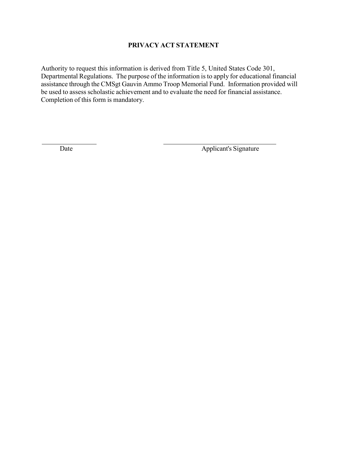#### **PRIVACY ACT STATEMENT**

Authority to request this information is derived from Title 5, United States Code 301, Departmental Regulations. The purpose of the information is to apply for educational financial assistance through the CMSgt Gauvin Ammo Troop Memorial Fund. Information provided will be used to assess scholastic achievement and to evaluate the need for financial assistance. Completion of this form is mandatory.

Date Applicant's Signature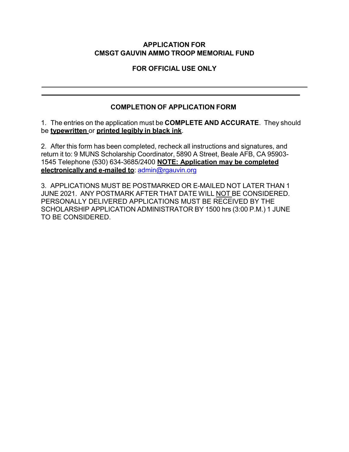#### **APPLICATION FOR CMSGT GAUVIN AMMO TROOP MEMORIAL FUND**

**FOR OFFICIAL USE ONLY**

## **COMPLETION OF APPLICATION FORM**

1. The entries on the application must be **COMPLETE AND ACCURATE**. They should be **typewritten** or **printed legibly in black ink**.

2. After this form has been completed, recheck all instructions and signatures, and return it to: 9 MUNS Scholarship Coordinator, 5890 A Street, Beale AFB, CA 95903- 1545 Telephone (530) 634-3685/2400 **NOTE: Application may be completed electronically and e-mailed to**: [admin@rgauvin.org](mailto:admin@rgauvin.org)

3. APPLICATIONS MUST BE POSTMARKED OR E-MAILED NOT LATER THAN 1 JUNE 2021. ANY POSTMARK AFTER THAT DATE WILL NOT BE CONSIDERED. PERSONALLY DELIVERED APPLICATIONS MUST BE RECEIVED BY THE SCHOLARSHIP APPLICATION ADMINISTRATOR BY 1500 hrs (3:00 P.M.) 1 JUNE TO BE CONSIDERED.